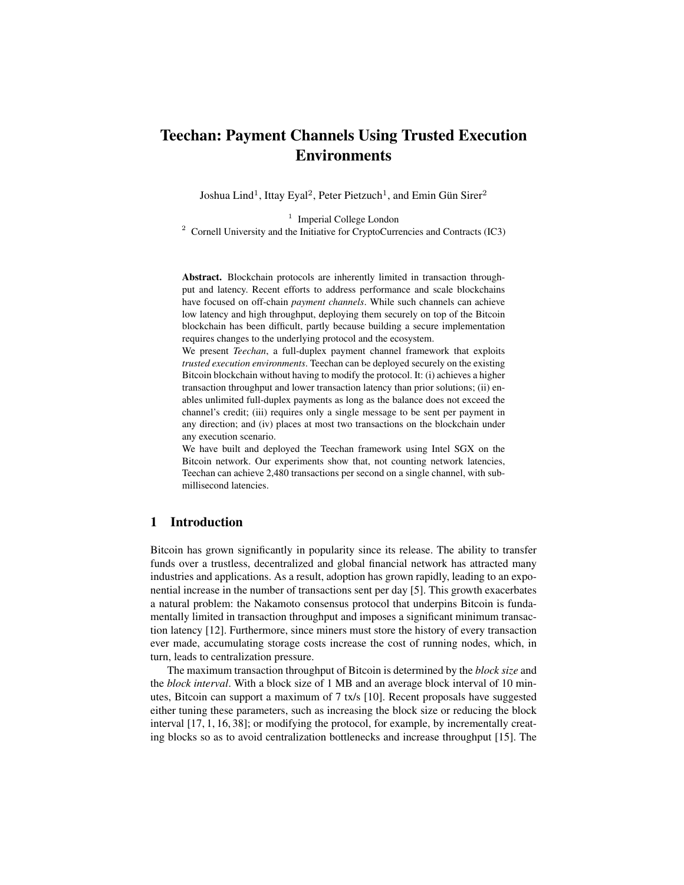# Teechan: Payment Channels Using Trusted Execution Environments

Joshua Lind<sup>1</sup>, Ittay Eyal<sup>2</sup>, Peter Pietzuch<sup>1</sup>, and Emin Gün Sirer<sup>2</sup>

<sup>1</sup> Imperial College London <sup>2</sup> Cornell University and the Initiative for CryptoCurrencies and Contracts (IC3)

Abstract. Blockchain protocols are inherently limited in transaction throughput and latency. Recent efforts to address performance and scale blockchains have focused on off-chain *payment channels*. While such channels can achieve low latency and high throughput, deploying them securely on top of the Bitcoin blockchain has been difficult, partly because building a secure implementation requires changes to the underlying protocol and the ecosystem.

We present *Teechan*, a full-duplex payment channel framework that exploits *trusted execution environments*. Teechan can be deployed securely on the existing Bitcoin blockchain without having to modify the protocol. It: (i) achieves a higher transaction throughput and lower transaction latency than prior solutions; (ii) enables unlimited full-duplex payments as long as the balance does not exceed the channel's credit; (iii) requires only a single message to be sent per payment in any direction; and (iv) places at most two transactions on the blockchain under any execution scenario.

We have built and deployed the Teechan framework using Intel SGX on the Bitcoin network. Our experiments show that, not counting network latencies, Teechan can achieve 2,480 transactions per second on a single channel, with submillisecond latencies.

# 1 Introduction

Bitcoin has grown significantly in popularity since its release. The ability to transfer funds over a trustless, decentralized and global financial network has attracted many industries and applications. As a result, adoption has grown rapidly, leading to an exponential increase in the number of transactions sent per day [5]. This growth exacerbates a natural problem: the Nakamoto consensus protocol that underpins Bitcoin is fundamentally limited in transaction throughput and imposes a significant minimum transaction latency [12]. Furthermore, since miners must store the history of every transaction ever made, accumulating storage costs increase the cost of running nodes, which, in turn, leads to centralization pressure.

The maximum transaction throughput of Bitcoin is determined by the *block size* and the *block interval*. With a block size of 1 MB and an average block interval of 10 minutes, Bitcoin can support a maximum of 7 tx/s [10]. Recent proposals have suggested either tuning these parameters, such as increasing the block size or reducing the block interval [17, 1, 16, 38]; or modifying the protocol, for example, by incrementally creating blocks so as to avoid centralization bottlenecks and increase throughput [15]. The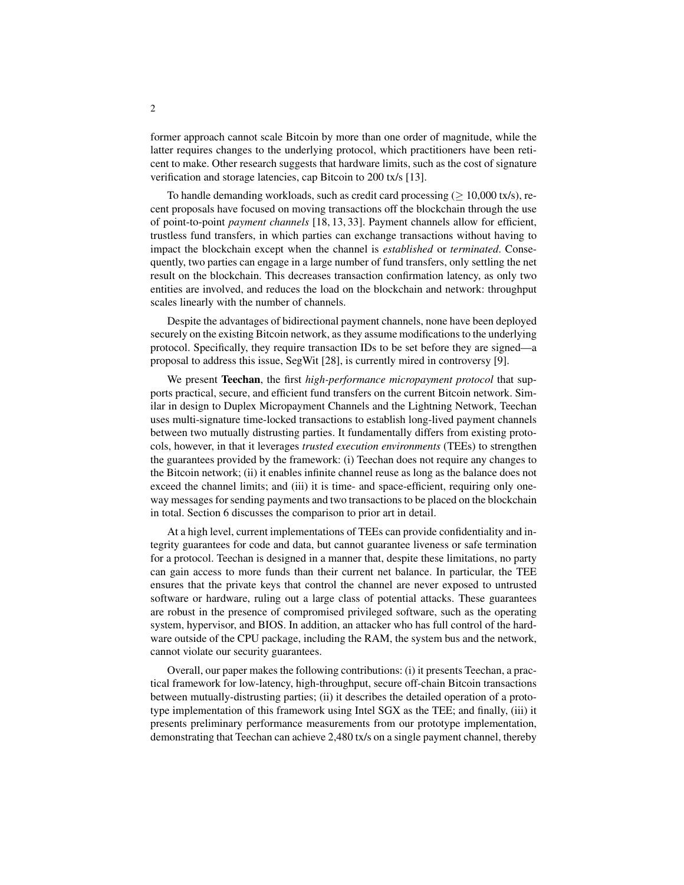former approach cannot scale Bitcoin by more than one order of magnitude, while the latter requires changes to the underlying protocol, which practitioners have been reticent to make. Other research suggests that hardware limits, such as the cost of signature verification and storage latencies, cap Bitcoin to 200 tx/s [13].

To handle demanding workloads, such as credit card processing ( $\geq 10,000$  tx/s), recent proposals have focused on moving transactions off the blockchain through the use of point-to-point *payment channels* [18, 13, 33]. Payment channels allow for efficient, trustless fund transfers, in which parties can exchange transactions without having to impact the blockchain except when the channel is *established* or *terminated*. Consequently, two parties can engage in a large number of fund transfers, only settling the net result on the blockchain. This decreases transaction confirmation latency, as only two entities are involved, and reduces the load on the blockchain and network: throughput scales linearly with the number of channels.

Despite the advantages of bidirectional payment channels, none have been deployed securely on the existing Bitcoin network, as they assume modifications to the underlying protocol. Specifically, they require transaction IDs to be set before they are signed—a proposal to address this issue, SegWit [28], is currently mired in controversy [9].

We present Teechan, the first *high-performance micropayment protocol* that supports practical, secure, and efficient fund transfers on the current Bitcoin network. Similar in design to Duplex Micropayment Channels and the Lightning Network, Teechan uses multi-signature time-locked transactions to establish long-lived payment channels between two mutually distrusting parties. It fundamentally differs from existing protocols, however, in that it leverages *trusted execution environments* (TEEs) to strengthen the guarantees provided by the framework: (i) Teechan does not require any changes to the Bitcoin network; (ii) it enables infinite channel reuse as long as the balance does not exceed the channel limits; and (iii) it is time- and space-efficient, requiring only oneway messages for sending payments and two transactions to be placed on the blockchain in total. Section 6 discusses the comparison to prior art in detail.

At a high level, current implementations of TEEs can provide confidentiality and integrity guarantees for code and data, but cannot guarantee liveness or safe termination for a protocol. Teechan is designed in a manner that, despite these limitations, no party can gain access to more funds than their current net balance. In particular, the TEE ensures that the private keys that control the channel are never exposed to untrusted software or hardware, ruling out a large class of potential attacks. These guarantees are robust in the presence of compromised privileged software, such as the operating system, hypervisor, and BIOS. In addition, an attacker who has full control of the hardware outside of the CPU package, including the RAM, the system bus and the network, cannot violate our security guarantees.

Overall, our paper makes the following contributions: (i) it presents Teechan, a practical framework for low-latency, high-throughput, secure off-chain Bitcoin transactions between mutually-distrusting parties; (ii) it describes the detailed operation of a prototype implementation of this framework using Intel SGX as the TEE; and finally, (iii) it presents preliminary performance measurements from our prototype implementation, demonstrating that Teechan can achieve 2,480 tx/s on a single payment channel, thereby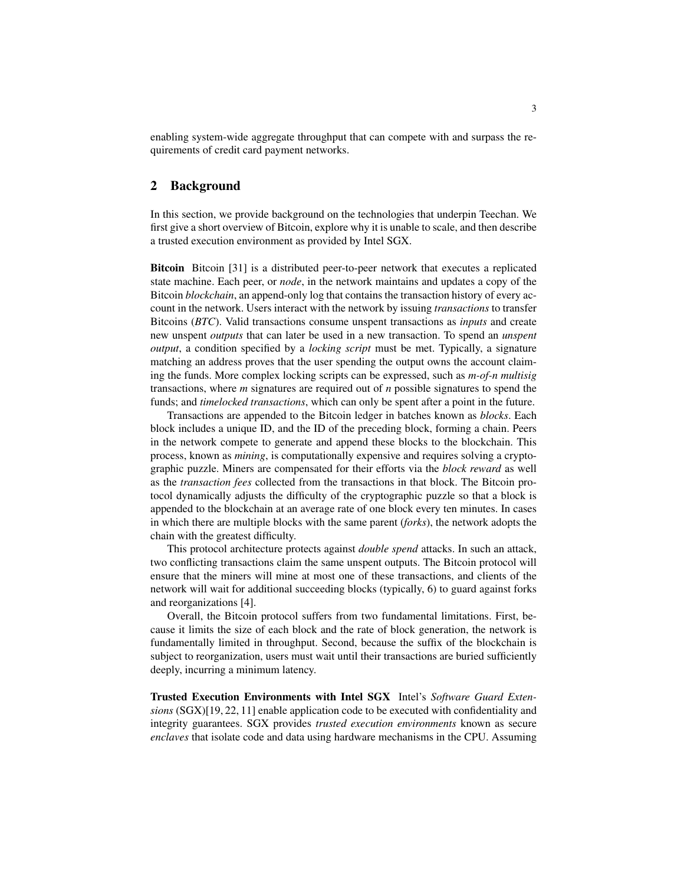enabling system-wide aggregate throughput that can compete with and surpass the requirements of credit card payment networks.

# 2 Background

In this section, we provide background on the technologies that underpin Teechan. We first give a short overview of Bitcoin, explore why it is unable to scale, and then describe a trusted execution environment as provided by Intel SGX.

Bitcoin Bitcoin [31] is a distributed peer-to-peer network that executes a replicated state machine. Each peer, or *node*, in the network maintains and updates a copy of the Bitcoin *blockchain*, an append-only log that contains the transaction history of every account in the network. Users interact with the network by issuing *transactions* to transfer Bitcoins (*BTC*). Valid transactions consume unspent transactions as *inputs* and create new unspent *outputs* that can later be used in a new transaction. To spend an *unspent output*, a condition specified by a *locking script* must be met. Typically, a signature matching an address proves that the user spending the output owns the account claiming the funds. More complex locking scripts can be expressed, such as *m-of-n multisig* transactions, where *m* signatures are required out of *n* possible signatures to spend the funds; and *timelocked transactions*, which can only be spent after a point in the future.

Transactions are appended to the Bitcoin ledger in batches known as *blocks*. Each block includes a unique ID, and the ID of the preceding block, forming a chain. Peers in the network compete to generate and append these blocks to the blockchain. This process, known as *mining*, is computationally expensive and requires solving a cryptographic puzzle. Miners are compensated for their efforts via the *block reward* as well as the *transaction fees* collected from the transactions in that block. The Bitcoin protocol dynamically adjusts the difficulty of the cryptographic puzzle so that a block is appended to the blockchain at an average rate of one block every ten minutes. In cases in which there are multiple blocks with the same parent (*forks*), the network adopts the chain with the greatest difficulty.

This protocol architecture protects against *double spend* attacks. In such an attack, two conflicting transactions claim the same unspent outputs. The Bitcoin protocol will ensure that the miners will mine at most one of these transactions, and clients of the network will wait for additional succeeding blocks (typically, 6) to guard against forks and reorganizations [4].

Overall, the Bitcoin protocol suffers from two fundamental limitations. First, because it limits the size of each block and the rate of block generation, the network is fundamentally limited in throughput. Second, because the suffix of the blockchain is subject to reorganization, users must wait until their transactions are buried sufficiently deeply, incurring a minimum latency.

Trusted Execution Environments with Intel SGX Intel's *Software Guard Extensions* (SGX)[19, 22, 11] enable application code to be executed with confidentiality and integrity guarantees. SGX provides *trusted execution environments* known as secure *enclaves* that isolate code and data using hardware mechanisms in the CPU. Assuming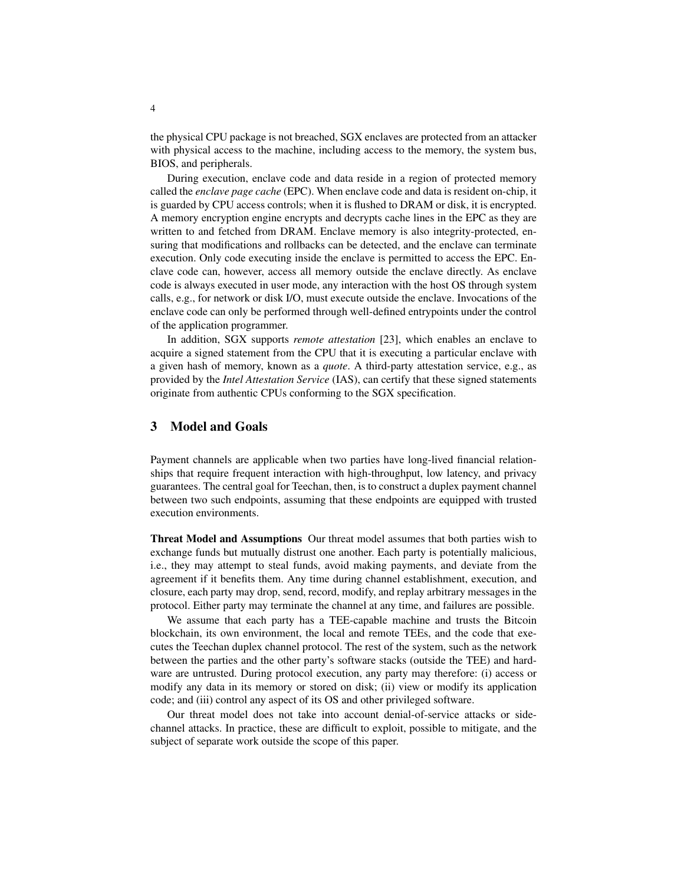the physical CPU package is not breached, SGX enclaves are protected from an attacker with physical access to the machine, including access to the memory, the system bus, BIOS, and peripherals.

During execution, enclave code and data reside in a region of protected memory called the *enclave page cache* (EPC). When enclave code and data is resident on-chip, it is guarded by CPU access controls; when it is flushed to DRAM or disk, it is encrypted. A memory encryption engine encrypts and decrypts cache lines in the EPC as they are written to and fetched from DRAM. Enclave memory is also integrity-protected, ensuring that modifications and rollbacks can be detected, and the enclave can terminate execution. Only code executing inside the enclave is permitted to access the EPC. Enclave code can, however, access all memory outside the enclave directly. As enclave code is always executed in user mode, any interaction with the host OS through system calls, e.g., for network or disk I/O, must execute outside the enclave. Invocations of the enclave code can only be performed through well-defined entrypoints under the control of the application programmer.

In addition, SGX supports *remote attestation* [23], which enables an enclave to acquire a signed statement from the CPU that it is executing a particular enclave with a given hash of memory, known as a *quote*. A third-party attestation service, e.g., as provided by the *Intel Attestation Service* (IAS), can certify that these signed statements originate from authentic CPUs conforming to the SGX specification.

# 3 Model and Goals

Payment channels are applicable when two parties have long-lived financial relationships that require frequent interaction with high-throughput, low latency, and privacy guarantees. The central goal for Teechan, then, is to construct a duplex payment channel between two such endpoints, assuming that these endpoints are equipped with trusted execution environments.

Threat Model and Assumptions Our threat model assumes that both parties wish to exchange funds but mutually distrust one another. Each party is potentially malicious, i.e., they may attempt to steal funds, avoid making payments, and deviate from the agreement if it benefits them. Any time during channel establishment, execution, and closure, each party may drop, send, record, modify, and replay arbitrary messages in the protocol. Either party may terminate the channel at any time, and failures are possible.

We assume that each party has a TEE-capable machine and trusts the Bitcoin blockchain, its own environment, the local and remote TEEs, and the code that executes the Teechan duplex channel protocol. The rest of the system, such as the network between the parties and the other party's software stacks (outside the TEE) and hardware are untrusted. During protocol execution, any party may therefore: (i) access or modify any data in its memory or stored on disk; (ii) view or modify its application code; and (iii) control any aspect of its OS and other privileged software.

Our threat model does not take into account denial-of-service attacks or sidechannel attacks. In practice, these are difficult to exploit, possible to mitigate, and the subject of separate work outside the scope of this paper.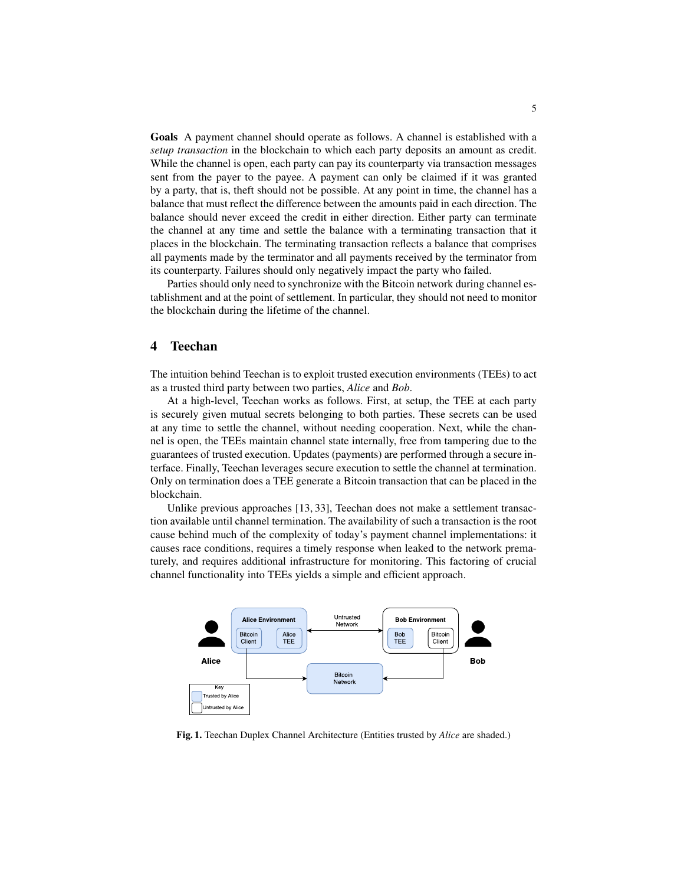Goals A payment channel should operate as follows. A channel is established with a *setup transaction* in the blockchain to which each party deposits an amount as credit. While the channel is open, each party can pay its counterparty via transaction messages sent from the payer to the payee. A payment can only be claimed if it was granted by a party, that is, theft should not be possible. At any point in time, the channel has a balance that must reflect the difference between the amounts paid in each direction. The balance should never exceed the credit in either direction. Either party can terminate the channel at any time and settle the balance with a terminating transaction that it places in the blockchain. The terminating transaction reflects a balance that comprises all payments made by the terminator and all payments received by the terminator from its counterparty. Failures should only negatively impact the party who failed.

Parties should only need to synchronize with the Bitcoin network during channel establishment and at the point of settlement. In particular, they should not need to monitor the blockchain during the lifetime of the channel.

### 4 Teechan

The intuition behind Teechan is to exploit trusted execution environments (TEEs) to act as a trusted third party between two parties, *Alice* and *Bob*.

At a high-level, Teechan works as follows. First, at setup, the TEE at each party is securely given mutual secrets belonging to both parties. These secrets can be used at any time to settle the channel, without needing cooperation. Next, while the channel is open, the TEEs maintain channel state internally, free from tampering due to the guarantees of trusted execution. Updates (payments) are performed through a secure interface. Finally, Teechan leverages secure execution to settle the channel at termination. Only on termination does a TEE generate a Bitcoin transaction that can be placed in the blockchain.

Unlike previous approaches [13, 33], Teechan does not make a settlement transaction available until channel termination. The availability of such a transaction is the root cause behind much of the complexity of today's payment channel implementations: it causes race conditions, requires a timely response when leaked to the network prematurely, and requires additional infrastructure for monitoring. This factoring of crucial channel functionality into TEEs yields a simple and efficient approach.



Fig. 1. Teechan Duplex Channel Architecture (Entities trusted by *Alice* are shaded.)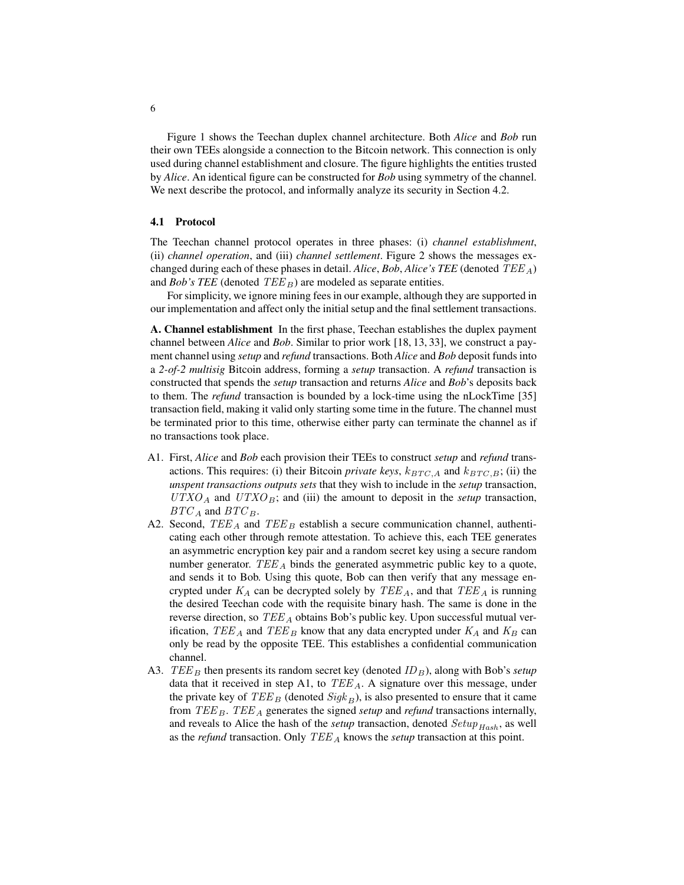Figure 1 shows the Teechan duplex channel architecture. Both *Alice* and *Bob* run their own TEEs alongside a connection to the Bitcoin network. This connection is only used during channel establishment and closure. The figure highlights the entities trusted by *Alice*. An identical figure can be constructed for *Bob* using symmetry of the channel. We next describe the protocol, and informally analyze its security in Section 4.2.

#### 4.1 Protocol

The Teechan channel protocol operates in three phases: (i) *channel establishment*, (ii) *channel operation*, and (iii) *channel settlement*. Figure 2 shows the messages exchanged during each of these phases in detail. *Alice*, *Bob*, *Alice's TEE* (denoted TEE <sup>A</sup>) and *Bob's TEE* (denoted  $TEE_B$ ) are modeled as separate entities.

For simplicity, we ignore mining fees in our example, although they are supported in our implementation and affect only the initial setup and the final settlement transactions.

A. Channel establishment In the first phase, Teechan establishes the duplex payment channel between *Alice* and *Bob*. Similar to prior work [18, 13, 33], we construct a payment channel using *setup* and *refund* transactions. Both *Alice* and *Bob* deposit funds into a *2-of-2 multisig* Bitcoin address, forming a *setup* transaction. A *refund* transaction is constructed that spends the *setup* transaction and returns *Alice* and *Bob*'s deposits back to them. The *refund* transaction is bounded by a lock-time using the nLockTime [35] transaction field, making it valid only starting some time in the future. The channel must be terminated prior to this time, otherwise either party can terminate the channel as if no transactions took place.

- A1. First, *Alice* and *Bob* each provision their TEEs to construct *setup* and *refund* transactions. This requires: (i) their Bitcoin *private keys*,  $k_{BTC,A}$  and  $k_{BTC,B}$ ; (ii) the *unspent transactions outputs sets* that they wish to include in the *setup* transaction,  $UTXO<sub>A</sub>$  and  $UTXO<sub>B</sub>$ ; and (iii) the amount to deposit in the *setup* transaction,  $BTC_A$  and  $BTC_B$ .
- A2. Second,  $TEE_A$  and  $TEE_B$  establish a secure communication channel, authenticating each other through remote attestation. To achieve this, each TEE generates an asymmetric encryption key pair and a random secret key using a secure random number generator.  $TEE_A$  binds the generated asymmetric public key to a quote, and sends it to Bob. Using this quote, Bob can then verify that any message encrypted under  $K_A$  can be decrypted solely by  $TEE_A$ , and that  $TEE_A$  is running the desired Teechan code with the requisite binary hash. The same is done in the reverse direction, so  $TEE_A$  obtains Bob's public key. Upon successful mutual verification,  $TEE_A$  and  $TEE_B$  know that any data encrypted under  $K_A$  and  $K_B$  can only be read by the opposite TEE. This establishes a confidential communication channel.
- A3. TEE<sub>B</sub> then presents its random secret key (denoted  $ID_B$ ), along with Bob's *setup* data that it received in step A1, to  $TEE_A$ . A signature over this message, under the private key of  $TEE_B$  (denoted  $Sigk_B$ ), is also presented to ensure that it came from  $TEE_B$ .  $TEE_A$  generates the signed *setup* and *refund* transactions internally, and reveals to Alice the hash of the *setup* transaction, denoted  $Setup_{Hash}$ , as well as the *refund* transaction. Only TEE<sub>A</sub> knows the *setup* transaction at this point.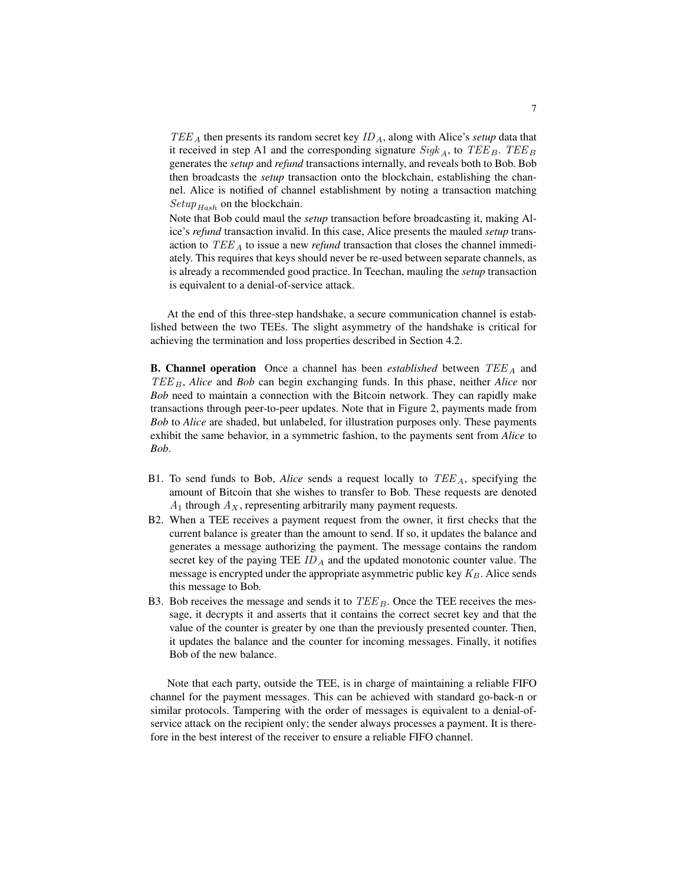$TEE_A$  then presents its random secret key  $ID_A$ , along with Alice's *setup* data that it received in step A1 and the corresponding signature  $Sigk_A$ , to  $TEE_B$ .  $TEE_B$ generates the *setup* and *refund* transactions internally, and reveals both to Bob. Bob then broadcasts the *setup* transaction onto the blockchain, establishing the channel. Alice is notified of channel establishment by noting a transaction matching  $Setup_{Hash}$  on the blockchain.

Note that Bob could maul the *setup* transaction before broadcasting it, making Alice's *refund* transaction invalid. In this case, Alice presents the mauled *setup* transaction to TEE <sup>A</sup> to issue a new *refund* transaction that closes the channel immediately. This requires that keys should never be re-used between separate channels, as is already a recommended good practice. In Teechan, mauling the *setup* transaction is equivalent to a denial-of-service attack.

At the end of this three-step handshake, a secure communication channel is established between the two TEEs. The slight asymmetry of the handshake is critical for achieving the termination and loss properties described in Section 4.2.

**B. Channel operation** Once a channel has been *established* between TEE<sub>A</sub> and TEE<sub>B</sub>, *Alice* and *Bob* can begin exchanging funds. In this phase, neither *Alice* nor *Bob* need to maintain a connection with the Bitcoin network. They can rapidly make transactions through peer-to-peer updates. Note that in Figure 2, payments made from *Bob* to *Alice* are shaded, but unlabeled, for illustration purposes only. These payments exhibit the same behavior, in a symmetric fashion, to the payments sent from *Alice* to *Bob*.

- B1. To send funds to Bob, *Alice* sends a request locally to TEE <sup>A</sup>, specifying the amount of Bitcoin that she wishes to transfer to Bob. These requests are denoted  $A_1$  through  $A_X$ , representing arbitrarily many payment requests.
- B2. When a TEE receives a payment request from the owner, it first checks that the current balance is greater than the amount to send. If so, it updates the balance and generates a message authorizing the payment. The message contains the random secret key of the paying TEE  $ID_A$  and the updated monotonic counter value. The message is encrypted under the appropriate asymmetric public key  $K_B$ . Alice sends this message to Bob.
- B3. Bob receives the message and sends it to  $TEE_B$ . Once the TEE receives the message, it decrypts it and asserts that it contains the correct secret key and that the value of the counter is greater by one than the previously presented counter. Then, it updates the balance and the counter for incoming messages. Finally, it notifies Bob of the new balance.

Note that each party, outside the TEE, is in charge of maintaining a reliable FIFO channel for the payment messages. This can be achieved with standard go-back-n or similar protocols. Tampering with the order of messages is equivalent to a denial-ofservice attack on the recipient only; the sender always processes a payment. It is therefore in the best interest of the receiver to ensure a reliable FIFO channel.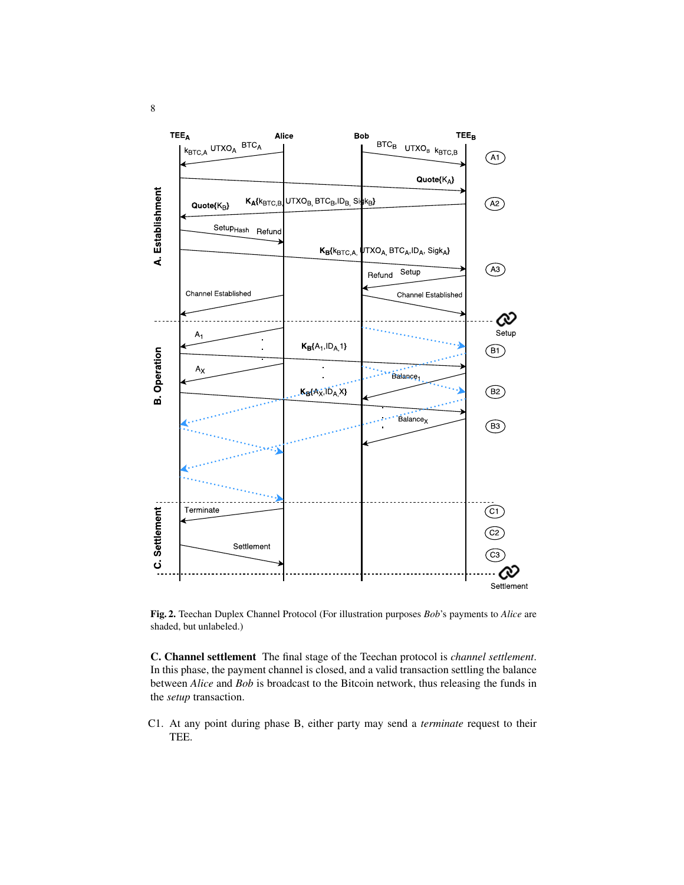

Fig. 2. Teechan Duplex Channel Protocol (For illustration purposes *Bob*'s payments to *Alice* are shaded, but unlabeled.)

C. Channel settlement The final stage of the Teechan protocol is *channel settlement*. In this phase, the payment channel is closed, and a valid transaction settling the balance between *Alice* and *Bob* is broadcast to the Bitcoin network, thus releasing the funds in the *setup* transaction.

C1. At any point during phase B, either party may send a *terminate* request to their TEE.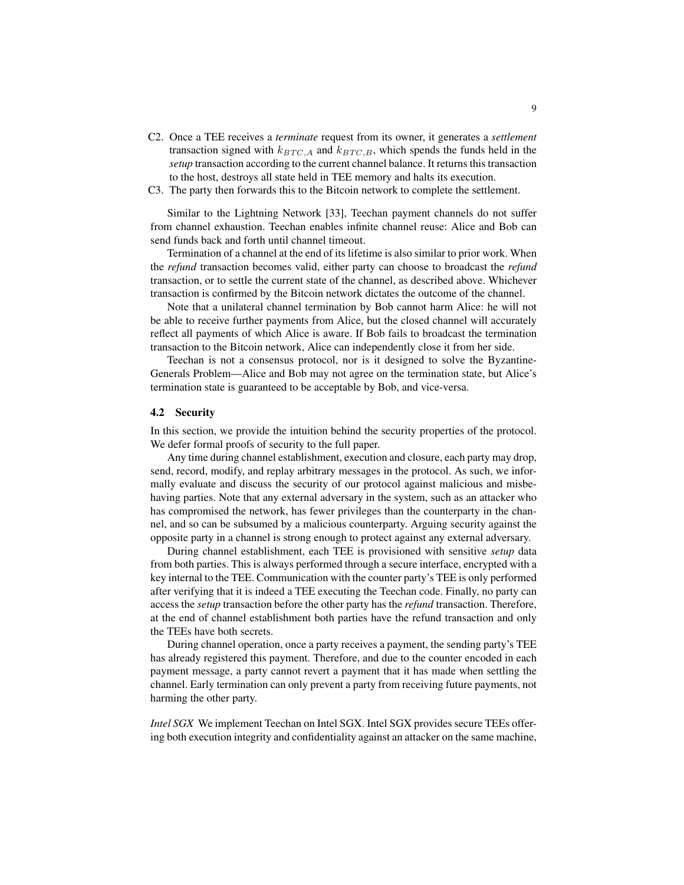- C2. Once a TEE receives a *terminate* request from its owner, it generates a *settlement* transaction signed with  $k_{BTC,A}$  and  $k_{BTC,B}$ , which spends the funds held in the *setup* transaction according to the current channel balance. It returns this transaction to the host, destroys all state held in TEE memory and halts its execution.
- C3. The party then forwards this to the Bitcoin network to complete the settlement.

Similar to the Lightning Network [33], Teechan payment channels do not suffer from channel exhaustion. Teechan enables infinite channel reuse: Alice and Bob can send funds back and forth until channel timeout.

Termination of a channel at the end of its lifetime is also similar to prior work. When the *refund* transaction becomes valid, either party can choose to broadcast the *refund* transaction, or to settle the current state of the channel, as described above. Whichever transaction is confirmed by the Bitcoin network dictates the outcome of the channel.

Note that a unilateral channel termination by Bob cannot harm Alice: he will not be able to receive further payments from Alice, but the closed channel will accurately reflect all payments of which Alice is aware. If Bob fails to broadcast the termination transaction to the Bitcoin network, Alice can independently close it from her side.

Teechan is not a consensus protocol, nor is it designed to solve the Byzantine-Generals Problem—Alice and Bob may not agree on the termination state, but Alice's termination state is guaranteed to be acceptable by Bob, and vice-versa.

#### 4.2 Security

In this section, we provide the intuition behind the security properties of the protocol. We defer formal proofs of security to the full paper.

Any time during channel establishment, execution and closure, each party may drop, send, record, modify, and replay arbitrary messages in the protocol. As such, we informally evaluate and discuss the security of our protocol against malicious and misbehaving parties. Note that any external adversary in the system, such as an attacker who has compromised the network, has fewer privileges than the counterparty in the channel, and so can be subsumed by a malicious counterparty. Arguing security against the opposite party in a channel is strong enough to protect against any external adversary.

During channel establishment, each TEE is provisioned with sensitive *setup* data from both parties. This is always performed through a secure interface, encrypted with a key internal to the TEE. Communication with the counter party's TEE is only performed after verifying that it is indeed a TEE executing the Teechan code. Finally, no party can access the *setup* transaction before the other party has the *refund* transaction. Therefore, at the end of channel establishment both parties have the refund transaction and only the TEEs have both secrets.

During channel operation, once a party receives a payment, the sending party's TEE has already registered this payment. Therefore, and due to the counter encoded in each payment message, a party cannot revert a payment that it has made when settling the channel. Early termination can only prevent a party from receiving future payments, not harming the other party.

*Intel SGX* We implement Teechan on Intel SGX. Intel SGX provides secure TEEs offering both execution integrity and confidentiality against an attacker on the same machine,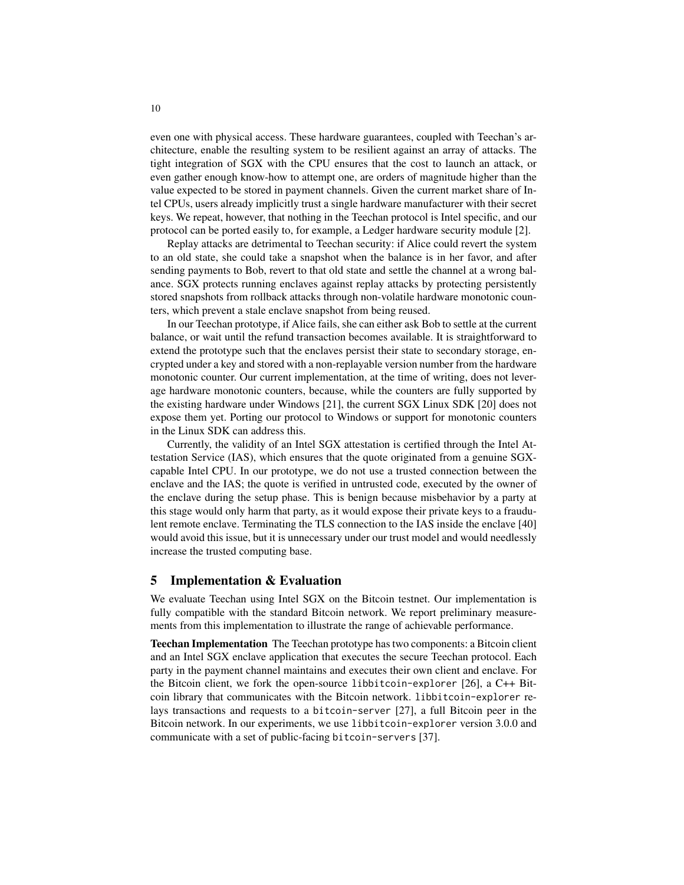even one with physical access. These hardware guarantees, coupled with Teechan's architecture, enable the resulting system to be resilient against an array of attacks. The tight integration of SGX with the CPU ensures that the cost to launch an attack, or even gather enough know-how to attempt one, are orders of magnitude higher than the value expected to be stored in payment channels. Given the current market share of Intel CPUs, users already implicitly trust a single hardware manufacturer with their secret keys. We repeat, however, that nothing in the Teechan protocol is Intel specific, and our protocol can be ported easily to, for example, a Ledger hardware security module [2].

Replay attacks are detrimental to Teechan security: if Alice could revert the system to an old state, she could take a snapshot when the balance is in her favor, and after sending payments to Bob, revert to that old state and settle the channel at a wrong balance. SGX protects running enclaves against replay attacks by protecting persistently stored snapshots from rollback attacks through non-volatile hardware monotonic counters, which prevent a stale enclave snapshot from being reused.

In our Teechan prototype, if Alice fails, she can either ask Bob to settle at the current balance, or wait until the refund transaction becomes available. It is straightforward to extend the prototype such that the enclaves persist their state to secondary storage, encrypted under a key and stored with a non-replayable version number from the hardware monotonic counter. Our current implementation, at the time of writing, does not leverage hardware monotonic counters, because, while the counters are fully supported by the existing hardware under Windows [21], the current SGX Linux SDK [20] does not expose them yet. Porting our protocol to Windows or support for monotonic counters in the Linux SDK can address this.

Currently, the validity of an Intel SGX attestation is certified through the Intel Attestation Service (IAS), which ensures that the quote originated from a genuine SGXcapable Intel CPU. In our prototype, we do not use a trusted connection between the enclave and the IAS; the quote is verified in untrusted code, executed by the owner of the enclave during the setup phase. This is benign because misbehavior by a party at this stage would only harm that party, as it would expose their private keys to a fraudulent remote enclave. Terminating the TLS connection to the IAS inside the enclave [40] would avoid this issue, but it is unnecessary under our trust model and would needlessly increase the trusted computing base.

### 5 Implementation & Evaluation

We evaluate Teechan using Intel SGX on the Bitcoin testnet. Our implementation is fully compatible with the standard Bitcoin network. We report preliminary measurements from this implementation to illustrate the range of achievable performance.

Teechan Implementation The Teechan prototype has two components: a Bitcoin client and an Intel SGX enclave application that executes the secure Teechan protocol. Each party in the payment channel maintains and executes their own client and enclave. For the Bitcoin client, we fork the open-source libbitcoin-explorer [26], a C++ Bitcoin library that communicates with the Bitcoin network. libbitcoin-explorer relays transactions and requests to a bitcoin-server [27], a full Bitcoin peer in the Bitcoin network. In our experiments, we use libbitcoin-explorer version 3.0.0 and communicate with a set of public-facing bitcoin-servers [37].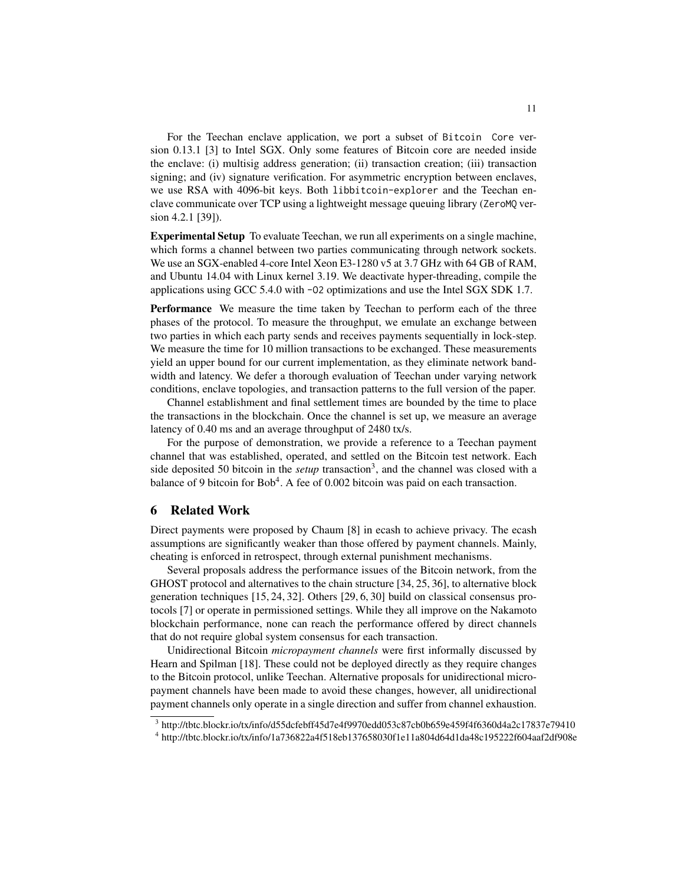For the Teechan enclave application, we port a subset of Bitcoin Core version 0.13.1 [3] to Intel SGX. Only some features of Bitcoin core are needed inside the enclave: (i) multisig address generation; (ii) transaction creation; (iii) transaction signing; and (iv) signature verification. For asymmetric encryption between enclaves, we use RSA with 4096-bit keys. Both libbitcoin-explorer and the Teechan enclave communicate over TCP using a lightweight message queuing library (ZeroMQ version 4.2.1 [39]).

Experimental Setup To evaluate Teechan, we run all experiments on a single machine, which forms a channel between two parties communicating through network sockets. We use an SGX-enabled 4-core Intel Xeon E3-1280 v5 at 3.7 GHz with 64 GB of RAM, and Ubuntu 14.04 with Linux kernel 3.19. We deactivate hyper-threading, compile the applications using GCC 5.4.0 with -O2 optimizations and use the Intel SGX SDK 1.7.

Performance We measure the time taken by Teechan to perform each of the three phases of the protocol. To measure the throughput, we emulate an exchange between two parties in which each party sends and receives payments sequentially in lock-step. We measure the time for 10 million transactions to be exchanged. These measurements yield an upper bound for our current implementation, as they eliminate network bandwidth and latency. We defer a thorough evaluation of Teechan under varying network conditions, enclave topologies, and transaction patterns to the full version of the paper.

Channel establishment and final settlement times are bounded by the time to place the transactions in the blockchain. Once the channel is set up, we measure an average latency of 0.40 ms and an average throughput of 2480 tx/s.

For the purpose of demonstration, we provide a reference to a Teechan payment channel that was established, operated, and settled on the Bitcoin test network. Each side deposited 50 bitcoin in the *setup* transaction<sup>3</sup>, and the channel was closed with a balance of 9 bitcoin for Bob<sup>4</sup>. A fee of 0.002 bitcoin was paid on each transaction.

# 6 Related Work

Direct payments were proposed by Chaum [8] in ecash to achieve privacy. The ecash assumptions are significantly weaker than those offered by payment channels. Mainly, cheating is enforced in retrospect, through external punishment mechanisms.

Several proposals address the performance issues of the Bitcoin network, from the GHOST protocol and alternatives to the chain structure [34, 25, 36], to alternative block generation techniques [15, 24, 32]. Others [29, 6, 30] build on classical consensus protocols [7] or operate in permissioned settings. While they all improve on the Nakamoto blockchain performance, none can reach the performance offered by direct channels that do not require global system consensus for each transaction.

Unidirectional Bitcoin *micropayment channels* were first informally discussed by Hearn and Spilman [18]. These could not be deployed directly as they require changes to the Bitcoin protocol, unlike Teechan. Alternative proposals for unidirectional micropayment channels have been made to avoid these changes, however, all unidirectional payment channels only operate in a single direction and suffer from channel exhaustion.

<sup>3</sup> http://tbtc.blockr.io/tx/info/d55dcfebff45d7e4f9970edd053c87cb0b659e459f4f6360d4a2c17837e79410 4 http://tbtc.blockr.io/tx/info/1a736822a4f518eb137658030f1e11a804d64d1da48c195222f604aaf2df908e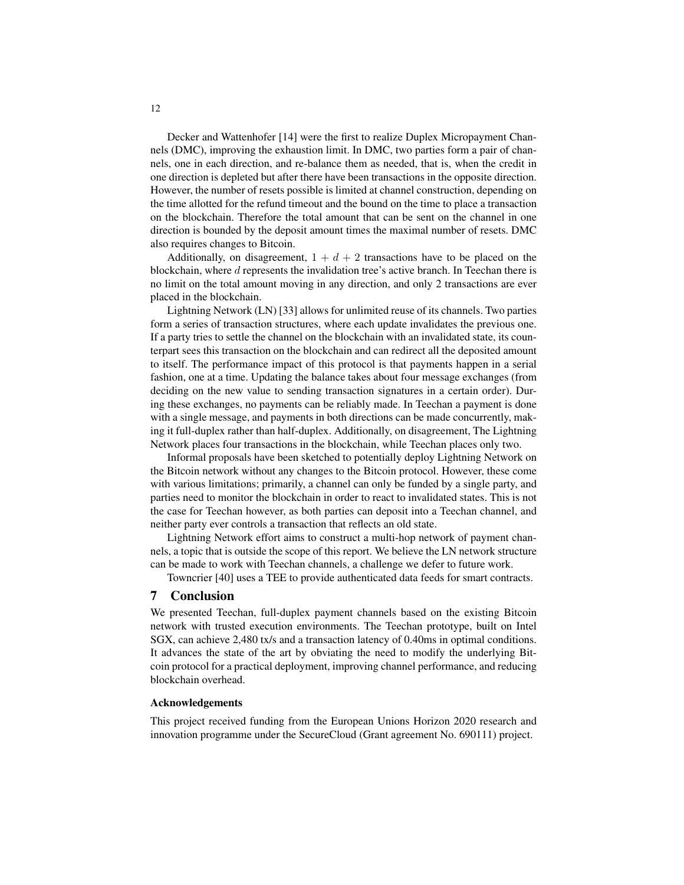Decker and Wattenhofer [14] were the first to realize Duplex Micropayment Channels (DMC), improving the exhaustion limit. In DMC, two parties form a pair of channels, one in each direction, and re-balance them as needed, that is, when the credit in one direction is depleted but after there have been transactions in the opposite direction. However, the number of resets possible is limited at channel construction, depending on the time allotted for the refund timeout and the bound on the time to place a transaction on the blockchain. Therefore the total amount that can be sent on the channel in one direction is bounded by the deposit amount times the maximal number of resets. DMC also requires changes to Bitcoin.

Additionally, on disagreement,  $1 + d + 2$  transactions have to be placed on the blockchain, where d represents the invalidation tree's active branch. In Teechan there is no limit on the total amount moving in any direction, and only 2 transactions are ever placed in the blockchain.

Lightning Network (LN) [33] allows for unlimited reuse of its channels. Two parties form a series of transaction structures, where each update invalidates the previous one. If a party tries to settle the channel on the blockchain with an invalidated state, its counterpart sees this transaction on the blockchain and can redirect all the deposited amount to itself. The performance impact of this protocol is that payments happen in a serial fashion, one at a time. Updating the balance takes about four message exchanges (from deciding on the new value to sending transaction signatures in a certain order). During these exchanges, no payments can be reliably made. In Teechan a payment is done with a single message, and payments in both directions can be made concurrently, making it full-duplex rather than half-duplex. Additionally, on disagreement, The Lightning Network places four transactions in the blockchain, while Teechan places only two.

Informal proposals have been sketched to potentially deploy Lightning Network on the Bitcoin network without any changes to the Bitcoin protocol. However, these come with various limitations; primarily, a channel can only be funded by a single party, and parties need to monitor the blockchain in order to react to invalidated states. This is not the case for Teechan however, as both parties can deposit into a Teechan channel, and neither party ever controls a transaction that reflects an old state.

Lightning Network effort aims to construct a multi-hop network of payment channels, a topic that is outside the scope of this report. We believe the LN network structure can be made to work with Teechan channels, a challenge we defer to future work.

Towncrier [40] uses a TEE to provide authenticated data feeds for smart contracts.

# 7 Conclusion

We presented Teechan, full-duplex payment channels based on the existing Bitcoin network with trusted execution environments. The Teechan prototype, built on Intel SGX, can achieve 2,480 tx/s and a transaction latency of 0.40ms in optimal conditions. It advances the state of the art by obviating the need to modify the underlying Bitcoin protocol for a practical deployment, improving channel performance, and reducing blockchain overhead.

#### Acknowledgements

This project received funding from the European Unions Horizon 2020 research and innovation programme under the SecureCloud (Grant agreement No. 690111) project.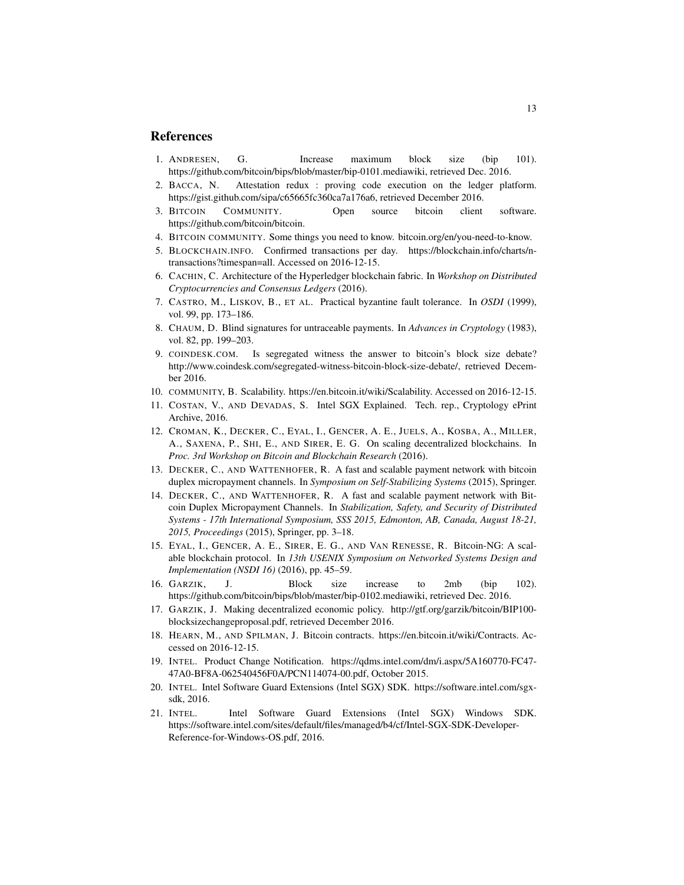# References

- 1. ANDRESEN, G. Increase maximum block size (bip 101). https://github.com/bitcoin/bips/blob/master/bip-0101.mediawiki, retrieved Dec. 2016.
- 2. BACCA, N. Attestation redux : proving code execution on the ledger platform. https://gist.github.com/sipa/c65665fc360ca7a176a6, retrieved December 2016.
- 3. BITCOIN COMMUNITY. Open source bitcoin client software. https://github.com/bitcoin/bitcoin.
- 4. BITCOIN COMMUNITY. Some things you need to know. bitcoin.org/en/you-need-to-know.
- 5. BLOCKCHAIN.INFO. Confirmed transactions per day. https://blockchain.info/charts/ntransactions?timespan=all. Accessed on 2016-12-15.
- 6. CACHIN, C. Architecture of the Hyperledger blockchain fabric. In *Workshop on Distributed Cryptocurrencies and Consensus Ledgers* (2016).
- 7. CASTRO, M., LISKOV, B., ET AL. Practical byzantine fault tolerance. In *OSDI* (1999), vol. 99, pp. 173–186.
- 8. CHAUM, D. Blind signatures for untraceable payments. In *Advances in Cryptology* (1983), vol. 82, pp. 199–203.
- 9. COINDESK.COM. Is segregated witness the answer to bitcoin's block size debate? http://www.coindesk.com/segregated-witness-bitcoin-block-size-debate/, retrieved December 2016.
- 10. COMMUNITY, B. Scalability. https://en.bitcoin.it/wiki/Scalability. Accessed on 2016-12-15.
- 11. COSTAN, V., AND DEVADAS, S. Intel SGX Explained. Tech. rep., Cryptology ePrint Archive, 2016.
- 12. CROMAN, K., DECKER, C., EYAL, I., GENCER, A. E., JUELS, A., KOSBA, A., MILLER, A., SAXENA, P., SHI, E., AND SIRER, E. G. On scaling decentralized blockchains. In *Proc. 3rd Workshop on Bitcoin and Blockchain Research* (2016).
- 13. DECKER, C., AND WATTENHOFER, R. A fast and scalable payment network with bitcoin duplex micropayment channels. In *Symposium on Self-Stabilizing Systems* (2015), Springer.
- 14. DECKER, C., AND WATTENHOFER, R. A fast and scalable payment network with Bitcoin Duplex Micropayment Channels. In *Stabilization, Safety, and Security of Distributed Systems - 17th International Symposium, SSS 2015, Edmonton, AB, Canada, August 18-21, 2015, Proceedings* (2015), Springer, pp. 3–18.
- 15. EYAL, I., GENCER, A. E., SIRER, E. G., AND VAN RENESSE, R. Bitcoin-NG: A scalable blockchain protocol. In *13th USENIX Symposium on Networked Systems Design and Implementation (NSDI 16)* (2016), pp. 45–59.
- 16. GARZIK, J. Block size increase to 2mb (bip 102). https://github.com/bitcoin/bips/blob/master/bip-0102.mediawiki, retrieved Dec. 2016.
- 17. GARZIK, J. Making decentralized economic policy. http://gtf.org/garzik/bitcoin/BIP100 blocksizechangeproposal.pdf, retrieved December 2016.
- 18. HEARN, M., AND SPILMAN, J. Bitcoin contracts. https://en.bitcoin.it/wiki/Contracts. Accessed on 2016-12-15.
- 19. INTEL. Product Change Notification. https://qdms.intel.com/dm/i.aspx/5A160770-FC47- 47A0-BF8A-062540456F0A/PCN114074-00.pdf, October 2015.
- 20. INTEL. Intel Software Guard Extensions (Intel SGX) SDK. https://software.intel.com/sgxsdk, 2016.
- 21. INTEL. Intel Software Guard Extensions (Intel SGX) Windows SDK. https://software.intel.com/sites/default/files/managed/b4/cf/Intel-SGX-SDK-Developer-Reference-for-Windows-OS.pdf, 2016.